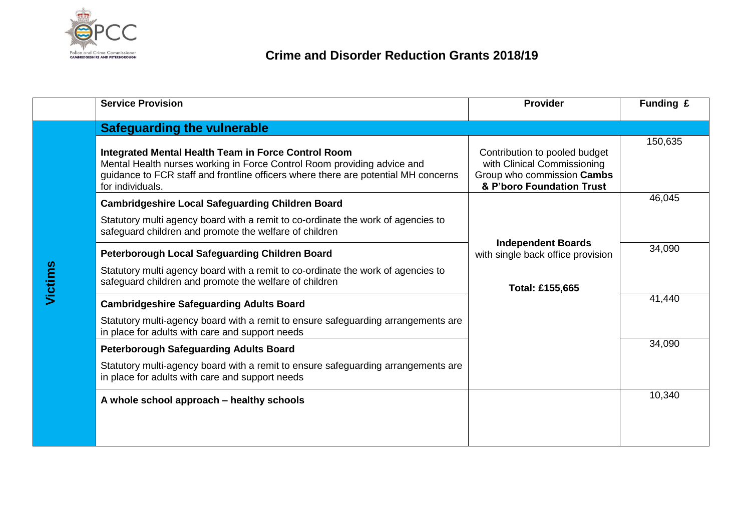

|         | <b>Service Provision</b>                                                                                                                                                                                                                 | <b>Provider</b>                                                                                                         | Funding £ |  |  |
|---------|------------------------------------------------------------------------------------------------------------------------------------------------------------------------------------------------------------------------------------------|-------------------------------------------------------------------------------------------------------------------------|-----------|--|--|
|         | <b>Safeguarding the vulnerable</b>                                                                                                                                                                                                       |                                                                                                                         |           |  |  |
|         | Integrated Mental Health Team in Force Control Room<br>Mental Health nurses working in Force Control Room providing advice and<br>guidance to FCR staff and frontline officers where there are potential MH concerns<br>for individuals. | Contribution to pooled budget<br>with Clinical Commissioning<br>Group who commission Cambs<br>& P'boro Foundation Trust | 150,635   |  |  |
|         | <b>Cambridgeshire Local Safeguarding Children Board</b>                                                                                                                                                                                  |                                                                                                                         | 46,045    |  |  |
|         | Statutory multi agency board with a remit to co-ordinate the work of agencies to<br>safeguard children and promote the welfare of children                                                                                               |                                                                                                                         |           |  |  |
|         | Peterborough Local Safeguarding Children Board                                                                                                                                                                                           | <b>Independent Boards</b><br>with single back office provision                                                          | 34,090    |  |  |
| Victims | Statutory multi agency board with a remit to co-ordinate the work of agencies to<br>safeguard children and promote the welfare of children                                                                                               | Total: £155,665                                                                                                         |           |  |  |
|         | <b>Cambridgeshire Safeguarding Adults Board</b>                                                                                                                                                                                          |                                                                                                                         | 41,440    |  |  |
|         | Statutory multi-agency board with a remit to ensure safeguarding arrangements are<br>in place for adults with care and support needs                                                                                                     |                                                                                                                         |           |  |  |
|         | <b>Peterborough Safeguarding Adults Board</b>                                                                                                                                                                                            |                                                                                                                         | 34,090    |  |  |
|         | Statutory multi-agency board with a remit to ensure safeguarding arrangements are<br>in place for adults with care and support needs                                                                                                     |                                                                                                                         |           |  |  |
|         | A whole school approach – healthy schools                                                                                                                                                                                                |                                                                                                                         | 10,340    |  |  |
|         |                                                                                                                                                                                                                                          |                                                                                                                         |           |  |  |
|         |                                                                                                                                                                                                                                          |                                                                                                                         |           |  |  |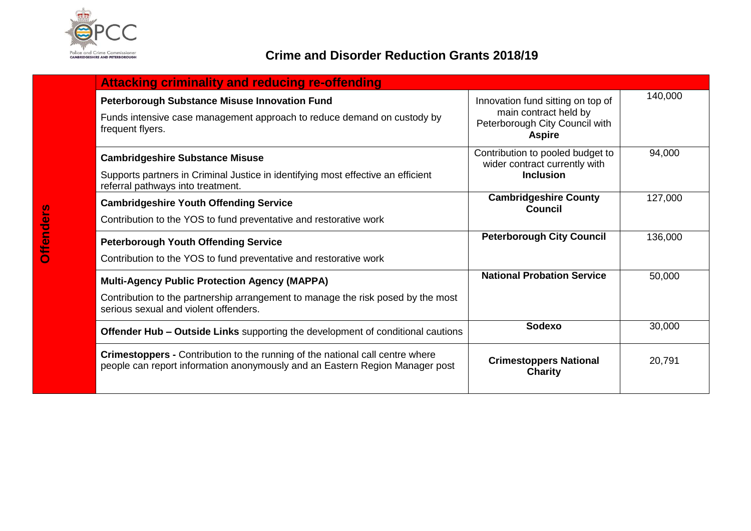

## **Crime and Disorder Reduction Grants 2018/19**

| <b>Attacking criminality and reducing re-offending</b>                                                                                                                            |                                                                                                               |         |
|-----------------------------------------------------------------------------------------------------------------------------------------------------------------------------------|---------------------------------------------------------------------------------------------------------------|---------|
| <b>Peterborough Substance Misuse Innovation Fund</b><br>Funds intensive case management approach to reduce demand on custody by<br>frequent flyers.                               | Innovation fund sitting on top of<br>main contract held by<br>Peterborough City Council with<br><b>Aspire</b> | 140,000 |
| <b>Cambridgeshire Substance Misuse</b><br>Supports partners in Criminal Justice in identifying most effective an efficient<br>referral pathways into treatment.                   | Contribution to pooled budget to<br>wider contract currently with<br><b>Inclusion</b>                         | 94,000  |
| <b>Cambridgeshire Youth Offending Service</b><br>Contribution to the YOS to fund preventative and restorative work                                                                | <b>Cambridgeshire County</b><br><b>Council</b>                                                                | 127,000 |
| <b>Peterborough Youth Offending Service</b><br>Contribution to the YOS to fund preventative and restorative work                                                                  | <b>Peterborough City Council</b>                                                                              | 136,000 |
| <b>Multi-Agency Public Protection Agency (MAPPA)</b><br>Contribution to the partnership arrangement to manage the risk posed by the most<br>serious sexual and violent offenders. | <b>National Probation Service</b>                                                                             | 50,000  |
| <b>Offender Hub – Outside Links</b> supporting the development of conditional cautions                                                                                            | <b>Sodexo</b>                                                                                                 | 30,000  |
| <b>Crimestoppers - Contribution to the running of the national call centre where</b><br>people can report information anonymously and an Eastern Region Manager post              | <b>Crimestoppers National</b><br><b>Charity</b>                                                               | 20,791  |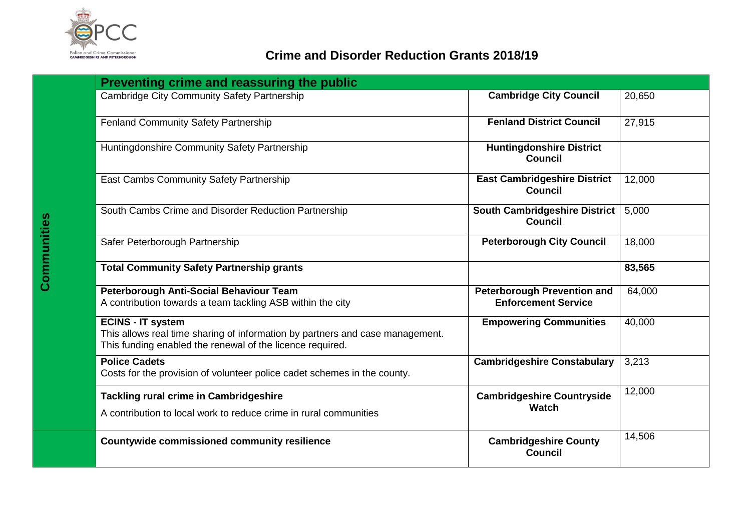

| Preventing crime and reassuring the public                                                                                                                             |                                                                  |        |
|------------------------------------------------------------------------------------------------------------------------------------------------------------------------|------------------------------------------------------------------|--------|
| <b>Cambridge City Community Safety Partnership</b>                                                                                                                     | <b>Cambridge City Council</b>                                    | 20,650 |
| <b>Fenland Community Safety Partnership</b>                                                                                                                            | <b>Fenland District Council</b>                                  | 27,915 |
| Huntingdonshire Community Safety Partnership                                                                                                                           | <b>Huntingdonshire District</b><br><b>Council</b>                |        |
| East Cambs Community Safety Partnership                                                                                                                                | <b>East Cambridgeshire District</b><br><b>Council</b>            | 12,000 |
| South Cambs Crime and Disorder Reduction Partnership                                                                                                                   | <b>South Cambridgeshire District</b><br><b>Council</b>           | 5,000  |
| Safer Peterborough Partnership                                                                                                                                         | <b>Peterborough City Council</b>                                 | 18,000 |
| <b>Total Community Safety Partnership grants</b>                                                                                                                       |                                                                  | 83,565 |
| Peterborough Anti-Social Behaviour Team<br>A contribution towards a team tackling ASB within the city                                                                  | <b>Peterborough Prevention and</b><br><b>Enforcement Service</b> | 64,000 |
| <b>ECINS - IT system</b><br>This allows real time sharing of information by partners and case management.<br>This funding enabled the renewal of the licence required. | <b>Empowering Communities</b>                                    | 40,000 |
| <b>Police Cadets</b><br>Costs for the provision of volunteer police cadet schemes in the county.                                                                       | <b>Cambridgeshire Constabulary</b>                               | 3,213  |
| Tackling rural crime in Cambridgeshire<br>A contribution to local work to reduce crime in rural communities                                                            | <b>Cambridgeshire Countryside</b><br><b>Watch</b>                | 12,000 |
| <b>Countywide commissioned community resilience</b>                                                                                                                    | <b>Cambridgeshire County</b><br>Council                          | 14,506 |